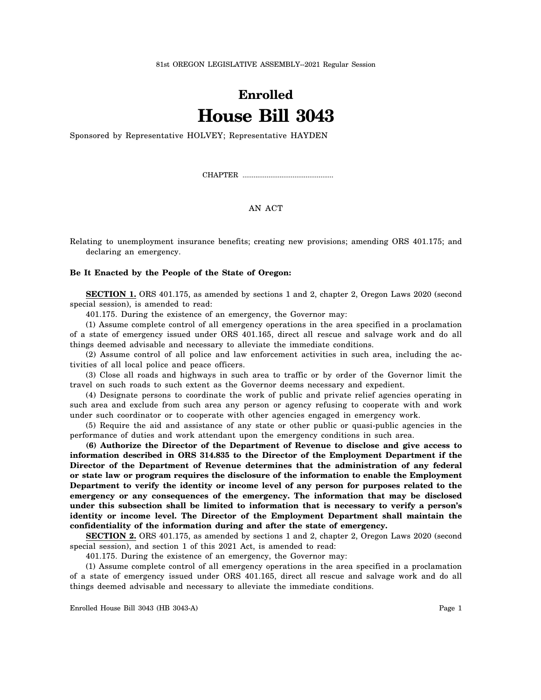81st OREGON LEGISLATIVE ASSEMBLY--2021 Regular Session

## **Enrolled House Bill 3043**

Sponsored by Representative HOLVEY; Representative HAYDEN

CHAPTER .................................................

## AN ACT

Relating to unemployment insurance benefits; creating new provisions; amending ORS 401.175; and declaring an emergency.

## **Be It Enacted by the People of the State of Oregon:**

**SECTION 1.** ORS 401.175, as amended by sections 1 and 2, chapter 2, Oregon Laws 2020 (second special session), is amended to read:

401.175. During the existence of an emergency, the Governor may:

(1) Assume complete control of all emergency operations in the area specified in a proclamation of a state of emergency issued under ORS 401.165, direct all rescue and salvage work and do all things deemed advisable and necessary to alleviate the immediate conditions.

(2) Assume control of all police and law enforcement activities in such area, including the activities of all local police and peace officers.

(3) Close all roads and highways in such area to traffic or by order of the Governor limit the travel on such roads to such extent as the Governor deems necessary and expedient.

(4) Designate persons to coordinate the work of public and private relief agencies operating in such area and exclude from such area any person or agency refusing to cooperate with and work under such coordinator or to cooperate with other agencies engaged in emergency work.

(5) Require the aid and assistance of any state or other public or quasi-public agencies in the performance of duties and work attendant upon the emergency conditions in such area.

**(6) Authorize the Director of the Department of Revenue to disclose and give access to information described in ORS 314.835 to the Director of the Employment Department if the Director of the Department of Revenue determines that the administration of any federal or state law or program requires the disclosure of the information to enable the Employment Department to verify the identity or income level of any person for purposes related to the emergency or any consequences of the emergency. The information that may be disclosed under this subsection shall be limited to information that is necessary to verify a person's identity or income level. The Director of the Employment Department shall maintain the confidentiality of the information during and after the state of emergency.**

**SECTION 2.** ORS 401.175, as amended by sections 1 and 2, chapter 2, Oregon Laws 2020 (second special session), and section 1 of this 2021 Act, is amended to read:

401.175. During the existence of an emergency, the Governor may:

(1) Assume complete control of all emergency operations in the area specified in a proclamation of a state of emergency issued under ORS 401.165, direct all rescue and salvage work and do all things deemed advisable and necessary to alleviate the immediate conditions.

Enrolled House Bill 3043 (HB 3043-A) Page 1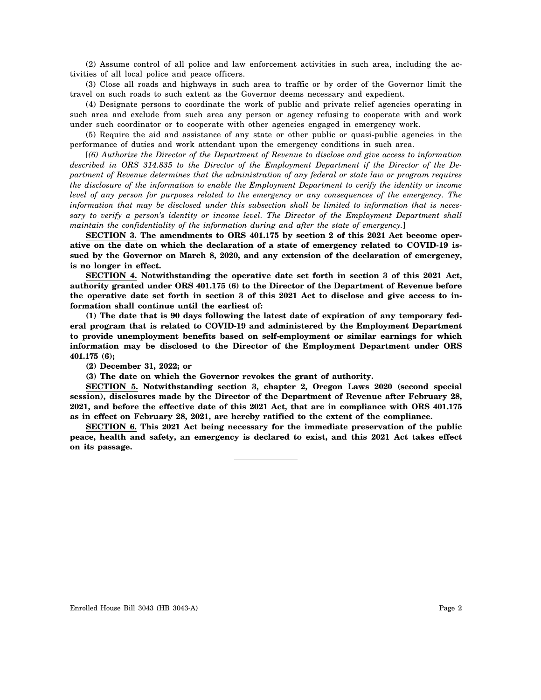(2) Assume control of all police and law enforcement activities in such area, including the activities of all local police and peace officers.

(3) Close all roads and highways in such area to traffic or by order of the Governor limit the travel on such roads to such extent as the Governor deems necessary and expedient.

(4) Designate persons to coordinate the work of public and private relief agencies operating in such area and exclude from such area any person or agency refusing to cooperate with and work under such coordinator or to cooperate with other agencies engaged in emergency work.

(5) Require the aid and assistance of any state or other public or quasi-public agencies in the performance of duties and work attendant upon the emergency conditions in such area.

[*(6) Authorize the Director of the Department of Revenue to disclose and give access to information described in ORS 314.835 to the Director of the Employment Department if the Director of the Department of Revenue determines that the administration of any federal or state law or program requires the disclosure of the information to enable the Employment Department to verify the identity or income level of any person for purposes related to the emergency or any consequences of the emergency. The information that may be disclosed under this subsection shall be limited to information that is necessary to verify a person's identity or income level. The Director of the Employment Department shall maintain the confidentiality of the information during and after the state of emergency.*]

**SECTION 3. The amendments to ORS 401.175 by section 2 of this 2021 Act become operative on the date on which the declaration of a state of emergency related to COVID-19 issued by the Governor on March 8, 2020, and any extension of the declaration of emergency, is no longer in effect.**

**SECTION 4. Notwithstanding the operative date set forth in section 3 of this 2021 Act, authority granted under ORS 401.175 (6) to the Director of the Department of Revenue before the operative date set forth in section 3 of this 2021 Act to disclose and give access to information shall continue until the earliest of:**

**(1) The date that is 90 days following the latest date of expiration of any temporary federal program that is related to COVID-19 and administered by the Employment Department to provide unemployment benefits based on self-employment or similar earnings for which information may be disclosed to the Director of the Employment Department under ORS 401.175 (6);**

**(2) December 31, 2022; or**

**(3) The date on which the Governor revokes the grant of authority.**

**SECTION 5. Notwithstanding section 3, chapter 2, Oregon Laws 2020 (second special session), disclosures made by the Director of the Department of Revenue after February 28, 2021, and before the effective date of this 2021 Act, that are in compliance with ORS 401.175 as in effect on February 28, 2021, are hereby ratified to the extent of the compliance.**

**SECTION 6. This 2021 Act being necessary for the immediate preservation of the public peace, health and safety, an emergency is declared to exist, and this 2021 Act takes effect on its passage.**